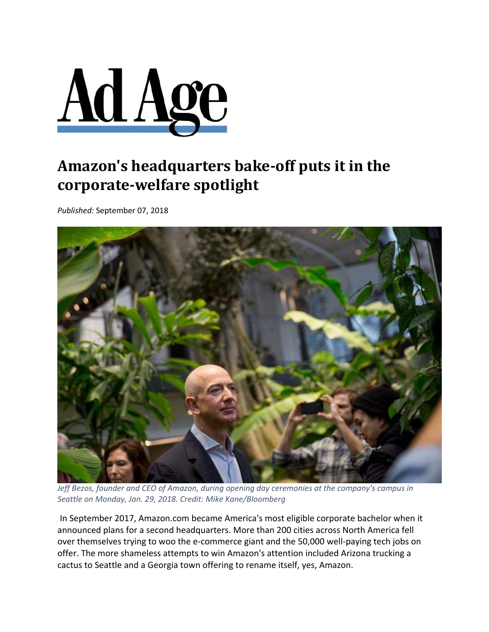

## **Amazon's headquarters bake‐off puts it in the corporate‐welfare spotlight**

*Published:* September 07, 2018



*Jeff Bezos, founder and CEO of Amazon, during opening day ceremonies at the company's campus in Seattle on Monday, Jan. 29, 2018. Credit: Mike Kane/Bloomberg*

In September 2017, Amazon.com became America's most eligible corporate bachelor when it announced plans for a second headquarters. More than 200 cities across North America fell over themselves trying to woo the e‐commerce giant and the 50,000 well‐paying tech jobs on offer. The more shameless attempts to win Amazon's attention included Arizona trucking a cactus to Seattle and a Georgia town offering to rename itself, yes, Amazon.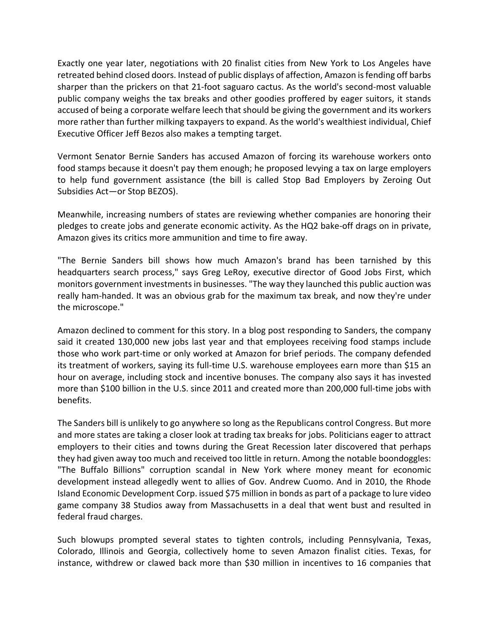Exactly one year later, negotiations with 20 finalist cities from New York to Los Angeles have retreated behind closed doors. Instead of public displays of affection, Amazon isfending off barbs sharper than the prickers on that 21‐foot saguaro cactus. As the world's second‐most valuable public company weighs the tax breaks and other goodies proffered by eager suitors, it stands accused of being a corporate welfare leech that should be giving the government and its workers more rather than further milking taxpayers to expand. As the world's wealthiest individual, Chief Executive Officer Jeff Bezos also makes a tempting target.

Vermont Senator Bernie Sanders has accused Amazon of forcing its warehouse workers onto food stamps because it doesn't pay them enough; he proposed levying a tax on large employers to help fund government assistance (the bill is called Stop Bad Employers by Zeroing Out Subsidies Act—or Stop BEZOS).

Meanwhile, increasing numbers of states are reviewing whether companies are honoring their pledges to create jobs and generate economic activity. As the HQ2 bake‐off drags on in private, Amazon gives its critics more ammunition and time to fire away.

"The Bernie Sanders bill shows how much Amazon's brand has been tarnished by this headquarters search process," says Greg LeRoy, executive director of Good Jobs First, which monitors government investmentsin businesses. "The way they launched this public auction was really ham-handed. It was an obvious grab for the maximum tax break, and now they're under the microscope."

Amazon declined to comment for this story. In a blog post responding to Sanders, the company said it created 130,000 new jobs last year and that employees receiving food stamps include those who work part‐time or only worked at Amazon for brief periods. The company defended its treatment of workers, saying its full‐time U.S. warehouse employees earn more than \$15 an hour on average, including stock and incentive bonuses. The company also says it has invested more than \$100 billion in the U.S. since 2011 and created more than 200,000 full‐time jobs with benefits.

The Sanders bill is unlikely to go anywhere so long asthe Republicans control Congress. But more and more states are taking a closer look at trading tax breaks for jobs. Politicians eager to attract employers to their cities and towns during the Great Recession later discovered that perhaps they had given away too much and received too little in return. Among the notable boondoggles: "The Buffalo Billions" corruption scandal in New York where money meant for economic development instead allegedly went to allies of Gov. Andrew Cuomo. And in 2010, the Rhode Island Economic Development Corp. issued \$75 million in bonds as part of a package to lure video game company 38 Studios away from Massachusetts in a deal that went bust and resulted in federal fraud charges.

Such blowups prompted several states to tighten controls, including Pennsylvania, Texas, Colorado, Illinois and Georgia, collectively home to seven Amazon finalist cities. Texas, for instance, withdrew or clawed back more than \$30 million in incentives to 16 companies that